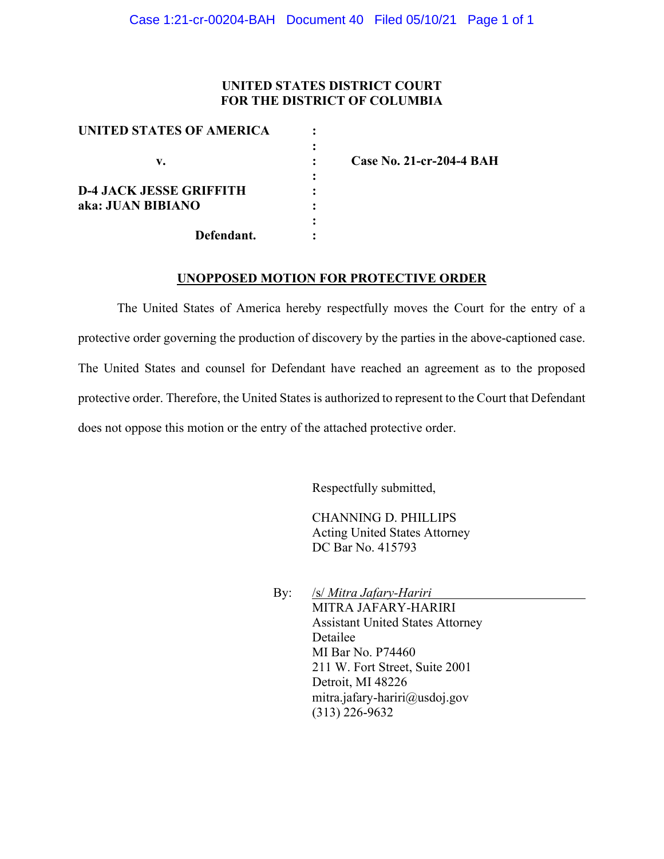#### **UNITED STATES DISTRICT COURT FOR THE DISTRICT OF COLUMBIA**

| UNITED STATES OF AMERICA       |  |
|--------------------------------|--|
|                                |  |
| v.                             |  |
|                                |  |
| <b>D-4 JACK JESSE GRIFFITH</b> |  |
| aka: JUAN BIBIANO              |  |
|                                |  |
| Defendant.                     |  |

**v. : Case No. 21-cr-204-4 BAH**

#### **UNOPPOSED MOTION FOR PROTECTIVE ORDER**

The United States of America hereby respectfully moves the Court for the entry of a protective order governing the production of discovery by the parties in the above-captioned case. The United States and counsel for Defendant have reached an agreement as to the proposed protective order. Therefore, the United States is authorized to represent to the Court that Defendant does not oppose this motion or the entry of the attached protective order.

Respectfully submitted,

CHANNING D. PHILLIPS Acting United States Attorney DC Bar No. 415793

By: /s/ *Mitra Jafary-Hariri* MITRA JAFARY-HARIRI Assistant United States Attorney Detailee MI Bar No. P74460 211 W. Fort Street, Suite 2001 Detroit, MI 48226 mitra.jafary-hariri@usdoj.gov (313) 226-9632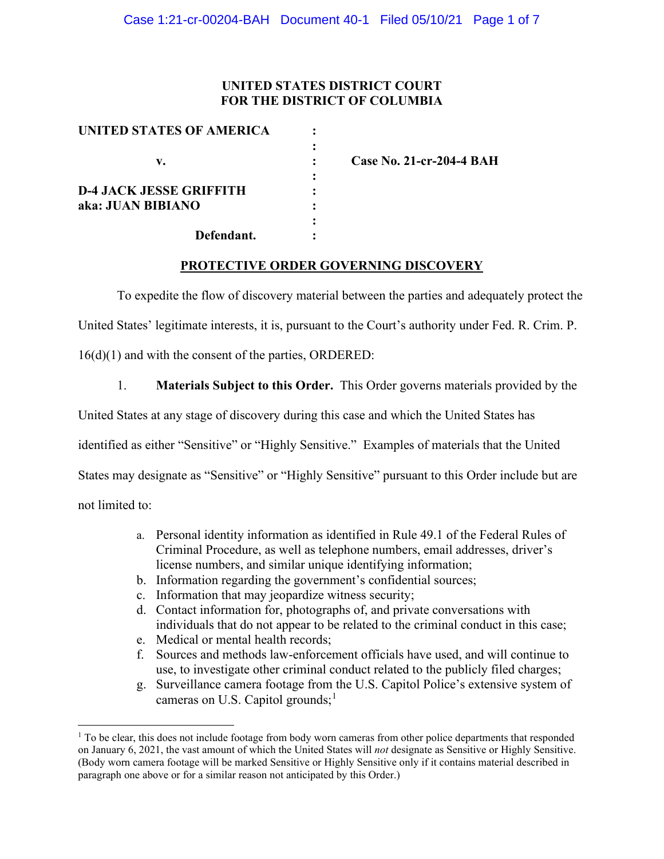## **UNITED STATES DISTRICT COURT FOR THE DISTRICT OF COLUMBIA**

| UNITED STATES OF AMERICA       |  |
|--------------------------------|--|
|                                |  |
| v.                             |  |
|                                |  |
| <b>D-4 JACK JESSE GRIFFITH</b> |  |
| aka: JUAN BIBIANO              |  |
|                                |  |
| Defendant.                     |  |

**v. : Case No. 21-cr-204-4 BAH**

### **PROTECTIVE ORDER GOVERNING DISCOVERY**

To expedite the flow of discovery material between the parties and adequately protect the

United States' legitimate interests, it is, pursuant to the Court's authority under Fed. R. Crim. P.

16(d)(1) and with the consent of the parties, ORDERED:

1. **Materials Subject to this Order.** This Order governs materials provided by the

United States at any stage of discovery during this case and which the United States has

identified as either "Sensitive" or "Highly Sensitive." Examples of materials that the United

States may designate as "Sensitive" or "Highly Sensitive" pursuant to this Order include but are

not limited to:

- a. Personal identity information as identified in Rule 49.1 of the Federal Rules of Criminal Procedure, as well as telephone numbers, email addresses, driver's license numbers, and similar unique identifying information;
- b. Information regarding the government's confidential sources;
- c. Information that may jeopardize witness security;
- d. Contact information for, photographs of, and private conversations with individuals that do not appear to be related to the criminal conduct in this case;
- e. Medical or mental health records;
- f. Sources and methods law-enforcement officials have used, and will continue to use, to investigate other criminal conduct related to the publicly filed charges;
- g. Surveillance camera footage from the U.S. Capitol Police's extensive system of cameras on U.S. Capitol grounds;<sup>1</sup>

<sup>&</sup>lt;sup>1</sup> To be clear, this does not include footage from body worn cameras from other police departments that responded on January 6, 2021, the vast amount of which the United States will *not* designate as Sensitive or Highly Sensitive. (Body worn camera footage will be marked Sensitive or Highly Sensitive only if it contains material described in paragraph one above or for a similar reason not anticipated by this Order.)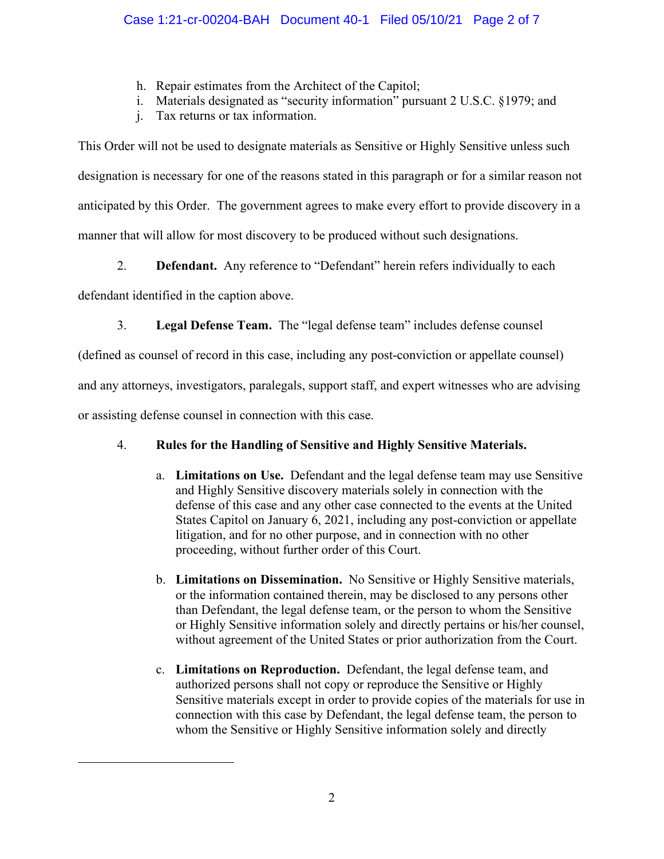- h. Repair estimates from the Architect of the Capitol;
- i. Materials designated as "security information" pursuant 2 U.S.C. §1979; and
- j. Tax returns or tax information.

This Order will not be used to designate materials as Sensitive or Highly Sensitive unless such designation is necessary for one of the reasons stated in this paragraph or for a similar reason not anticipated by this Order. The government agrees to make every effort to provide discovery in a manner that will allow for most discovery to be produced without such designations.

2. **Defendant.** Any reference to "Defendant" herein refers individually to each

defendant identified in the caption above.

3. **Legal Defense Team.** The "legal defense team" includes defense counsel

(defined as counsel of record in this case, including any post-conviction or appellate counsel)

and any attorneys, investigators, paralegals, support staff, and expert witnesses who are advising

or assisting defense counsel in connection with this case.

# 4. **Rules for the Handling of Sensitive and Highly Sensitive Materials.**

- a. **Limitations on Use.** Defendant and the legal defense team may use Sensitive and Highly Sensitive discovery materials solely in connection with the defense of this case and any other case connected to the events at the United States Capitol on January 6, 2021, including any post-conviction or appellate litigation, and for no other purpose, and in connection with no other proceeding, without further order of this Court.
- b. **Limitations on Dissemination.** No Sensitive or Highly Sensitive materials, or the information contained therein, may be disclosed to any persons other than Defendant, the legal defense team, or the person to whom the Sensitive or Highly Sensitive information solely and directly pertains or his/her counsel, without agreement of the United States or prior authorization from the Court.
- c. **Limitations on Reproduction.** Defendant, the legal defense team, and authorized persons shall not copy or reproduce the Sensitive or Highly Sensitive materials except in order to provide copies of the materials for use in connection with this case by Defendant, the legal defense team, the person to whom the Sensitive or Highly Sensitive information solely and directly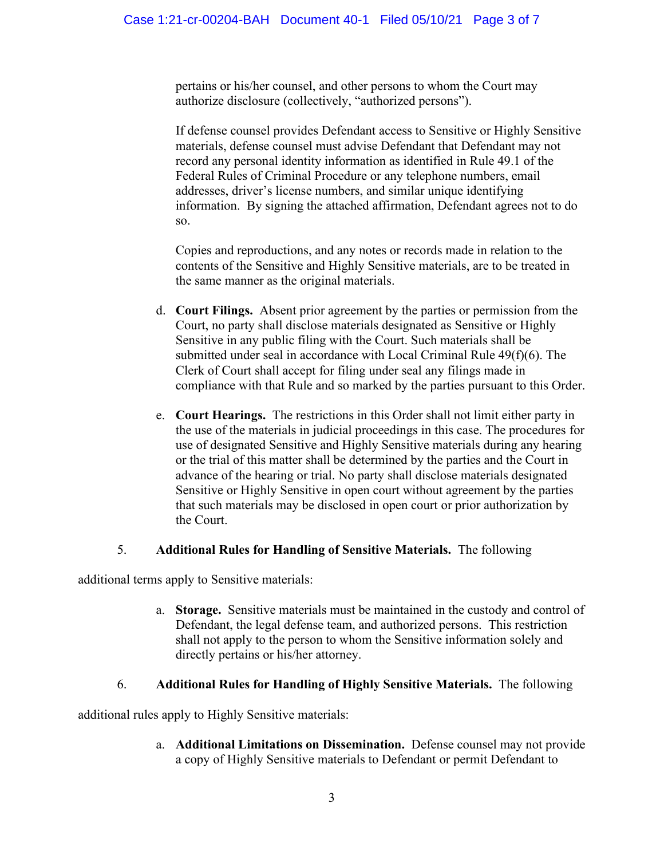pertains or his/her counsel, and other persons to whom the Court may authorize disclosure (collectively, "authorized persons").

If defense counsel provides Defendant access to Sensitive or Highly Sensitive materials, defense counsel must advise Defendant that Defendant may not record any personal identity information as identified in Rule 49.1 of the Federal Rules of Criminal Procedure or any telephone numbers, email addresses, driver's license numbers, and similar unique identifying information. By signing the attached affirmation, Defendant agrees not to do so.

Copies and reproductions, and any notes or records made in relation to the contents of the Sensitive and Highly Sensitive materials, are to be treated in the same manner as the original materials.

- d. **Court Filings.** Absent prior agreement by the parties or permission from the Court, no party shall disclose materials designated as Sensitive or Highly Sensitive in any public filing with the Court. Such materials shall be submitted under seal in accordance with Local Criminal Rule 49(f)(6). The Clerk of Court shall accept for filing under seal any filings made in compliance with that Rule and so marked by the parties pursuant to this Order.
- e. **Court Hearings.** The restrictions in this Order shall not limit either party in the use of the materials in judicial proceedings in this case. The procedures for use of designated Sensitive and Highly Sensitive materials during any hearing or the trial of this matter shall be determined by the parties and the Court in advance of the hearing or trial. No party shall disclose materials designated Sensitive or Highly Sensitive in open court without agreement by the parties that such materials may be disclosed in open court or prior authorization by the Court.

## 5. **Additional Rules for Handling of Sensitive Materials.** The following

additional terms apply to Sensitive materials:

a. **Storage.** Sensitive materials must be maintained in the custody and control of Defendant, the legal defense team, and authorized persons. This restriction shall not apply to the person to whom the Sensitive information solely and directly pertains or his/her attorney.

## 6. **Additional Rules for Handling of Highly Sensitive Materials.** The following

additional rules apply to Highly Sensitive materials:

a. **Additional Limitations on Dissemination.** Defense counsel may not provide a copy of Highly Sensitive materials to Defendant or permit Defendant to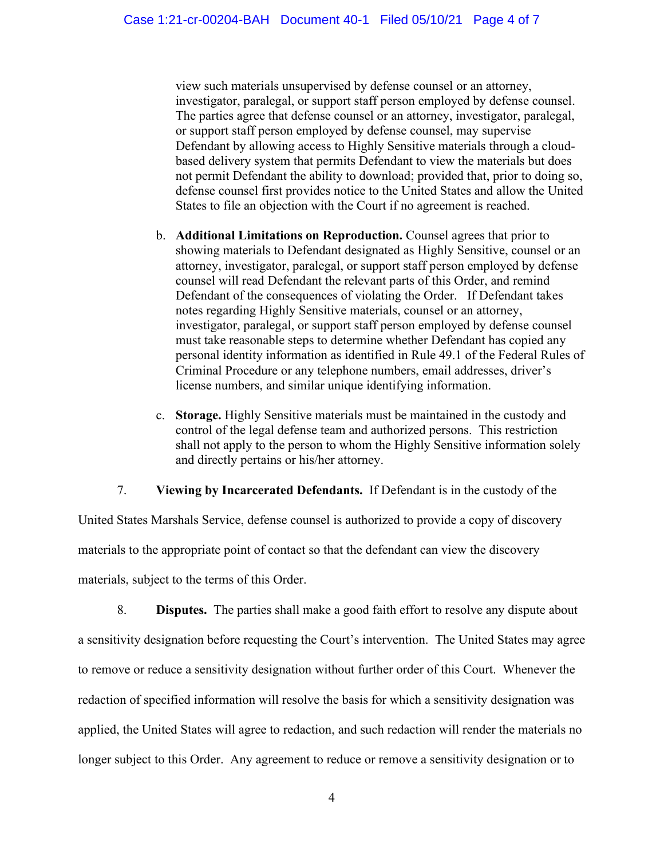view such materials unsupervised by defense counsel or an attorney, investigator, paralegal, or support staff person employed by defense counsel. The parties agree that defense counsel or an attorney, investigator, paralegal, or support staff person employed by defense counsel, may supervise Defendant by allowing access to Highly Sensitive materials through a cloudbased delivery system that permits Defendant to view the materials but does not permit Defendant the ability to download; provided that, prior to doing so, defense counsel first provides notice to the United States and allow the United States to file an objection with the Court if no agreement is reached.

- b. **Additional Limitations on Reproduction.** Counsel agrees that prior to showing materials to Defendant designated as Highly Sensitive, counsel or an attorney, investigator, paralegal, or support staff person employed by defense counsel will read Defendant the relevant parts of this Order, and remind Defendant of the consequences of violating the Order. If Defendant takes notes regarding Highly Sensitive materials, counsel or an attorney, investigator, paralegal, or support staff person employed by defense counsel must take reasonable steps to determine whether Defendant has copied any personal identity information as identified in Rule 49.1 of the Federal Rules of Criminal Procedure or any telephone numbers, email addresses, driver's license numbers, and similar unique identifying information.
- c. **Storage.** Highly Sensitive materials must be maintained in the custody and control of the legal defense team and authorized persons. This restriction shall not apply to the person to whom the Highly Sensitive information solely and directly pertains or his/her attorney.

### 7. **Viewing by Incarcerated Defendants.** If Defendant is in the custody of the

United States Marshals Service, defense counsel is authorized to provide a copy of discovery materials to the appropriate point of contact so that the defendant can view the discovery materials, subject to the terms of this Order.

8. **Disputes.** The parties shall make a good faith effort to resolve any dispute about a sensitivity designation before requesting the Court's intervention. The United States may agree to remove or reduce a sensitivity designation without further order of this Court. Whenever the redaction of specified information will resolve the basis for which a sensitivity designation was applied, the United States will agree to redaction, and such redaction will render the materials no longer subject to this Order. Any agreement to reduce or remove a sensitivity designation or to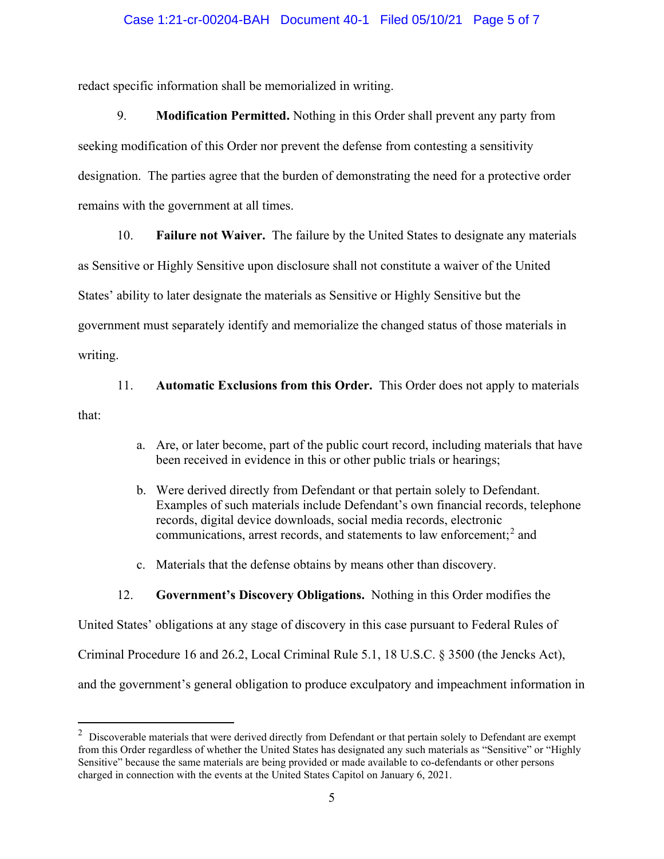#### Case 1:21-cr-00204-BAH Document 40-1 Filed 05/10/21 Page 5 of 7

redact specific information shall be memorialized in writing.

9. **Modification Permitted.** Nothing in this Order shall prevent any party from seeking modification of this Order nor prevent the defense from contesting a sensitivity designation. The parties agree that the burden of demonstrating the need for a protective order remains with the government at all times.

10. **Failure not Waiver.** The failure by the United States to designate any materials

as Sensitive or Highly Sensitive upon disclosure shall not constitute a waiver of the United States' ability to later designate the materials as Sensitive or Highly Sensitive but the

government must separately identify and memorialize the changed status of those materials in

writing.

11. **Automatic Exclusions from this Order.** This Order does not apply to materials

that:

- a. Are, or later become, part of the public court record, including materials that have been received in evidence in this or other public trials or hearings;
- b. Were derived directly from Defendant or that pertain solely to Defendant. Examples of such materials include Defendant's own financial records, telephone records, digital device downloads, social media records, electronic communications, arrest records, and statements to law enforcement; <sup>2</sup> and
- c. Materials that the defense obtains by means other than discovery.

#### 12. **Government's Discovery Obligations.** Nothing in this Order modifies the

United States' obligations at any stage of discovery in this case pursuant to Federal Rules of Criminal Procedure 16 and 26.2, Local Criminal Rule 5.1, 18 U.S.C. § 3500 (the Jencks Act), and the government's general obligation to produce exculpatory and impeachment information in

 $2$  Discoverable materials that were derived directly from Defendant or that pertain solely to Defendant are exempt from this Order regardless of whether the United States has designated any such materials as "Sensitive" or "Highly Sensitive" because the same materials are being provided or made available to co-defendants or other persons charged in connection with the events at the United States Capitol on January 6, 2021.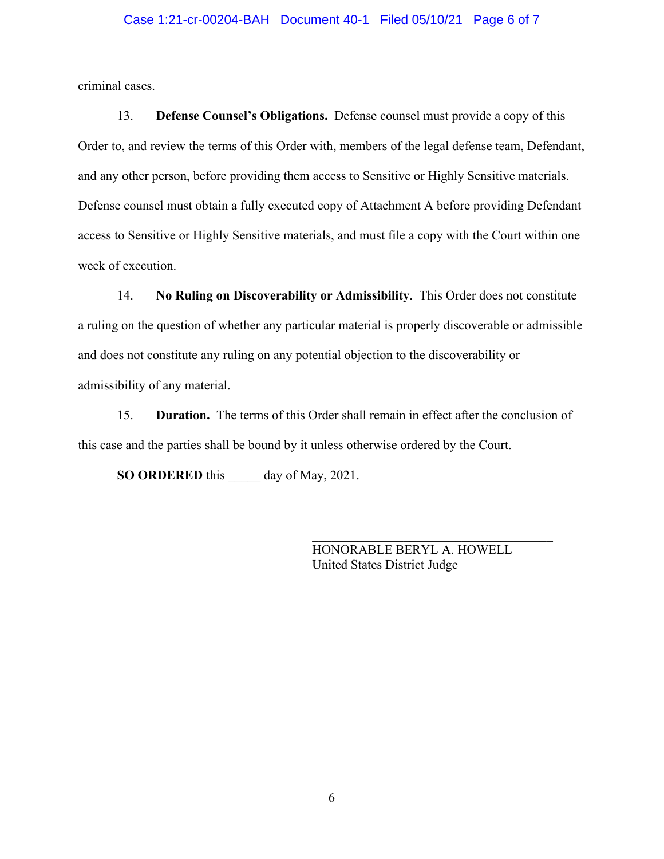#### Case 1:21-cr-00204-BAH Document 40-1 Filed 05/10/21 Page 6 of 7

criminal cases.

13. **Defense Counsel's Obligations.** Defense counsel must provide a copy of this Order to, and review the terms of this Order with, members of the legal defense team, Defendant, and any other person, before providing them access to Sensitive or Highly Sensitive materials. Defense counsel must obtain a fully executed copy of Attachment A before providing Defendant access to Sensitive or Highly Sensitive materials, and must file a copy with the Court within one week of execution.

14. **No Ruling on Discoverability or Admissibility**. This Order does not constitute a ruling on the question of whether any particular material is properly discoverable or admissible and does not constitute any ruling on any potential objection to the discoverability or admissibility of any material.

15. **Duration.** The terms of this Order shall remain in effect after the conclusion of this case and the parties shall be bound by it unless otherwise ordered by the Court.

**SO ORDERED** this day of May, 2021.

HONORABLE BERYL A. HOWELL United States District Judge

\_\_\_\_\_\_\_\_\_\_\_\_\_\_\_\_\_\_\_\_\_\_\_\_\_\_\_\_\_\_\_\_\_\_\_\_\_